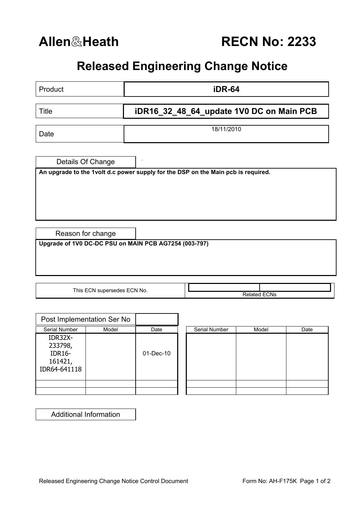## **Released Engineering Change Notice**

| Product                                                                           | <b>iDR-64</b> |                                          |  |  |  |  |
|-----------------------------------------------------------------------------------|---------------|------------------------------------------|--|--|--|--|
| <b>Title</b>                                                                      |               | iDR16_32_48_64_update 1V0 DC on Main PCB |  |  |  |  |
| Date                                                                              |               | 18/11/2010                               |  |  |  |  |
| Details Of Change                                                                 |               |                                          |  |  |  |  |
| An upgrade to the 1volt d.c power supply for the DSP on the Main pcb is required. |               |                                          |  |  |  |  |
|                                                                                   |               |                                          |  |  |  |  |
|                                                                                   |               |                                          |  |  |  |  |
| Reason for change                                                                 |               |                                          |  |  |  |  |
| Upgrade of 1V0 DC-DC PSU on MAIN PCB AG7254 (003-797)                             |               |                                          |  |  |  |  |
|                                                                                   |               |                                          |  |  |  |  |
|                                                                                   |               |                                          |  |  |  |  |
|                                                                                   |               |                                          |  |  |  |  |
| This ECN supersedes ECN No.                                                       |               | <b>Related ECNs</b>                      |  |  |  |  |

|                                                                | Post Implementation Ser No |           |  |               |       |      |
|----------------------------------------------------------------|----------------------------|-----------|--|---------------|-------|------|
| Serial Number                                                  | Model                      |           |  | Serial Number | Model | Date |
| IDR32X-<br>233798,<br><b>IDR16-</b><br>161421,<br>IDR64-641118 |                            | 01-Dec-10 |  |               |       |      |
|                                                                |                            |           |  |               |       |      |
|                                                                |                            |           |  |               |       |      |

| Serial Number | Model | Date |
|---------------|-------|------|
|               |       |      |
|               |       |      |
|               |       |      |
|               |       |      |
|               |       |      |
|               |       |      |
|               |       |      |
|               |       |      |

Additional Information